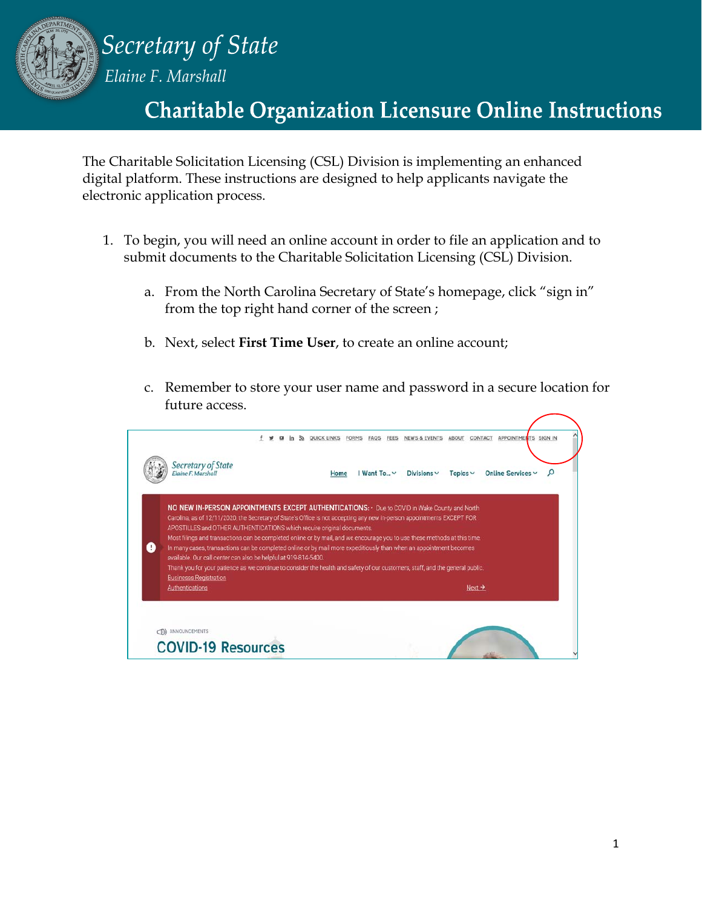

Secretary of State

*Elaine F. Marshall*

# **Charitable Organization Licensure Online Instructions**

The Charitable Solicitation Licensing (CSL) Division is implementing an enhanced digital platform. These instructions are designed to help applicants navigate the electronic application process.

- 1. To begin, you will need an online account in order to file an application and to submit documents to the Charitable Solicitation Licensing (CSL) Division.
	- a. From the North Carolina Secretary of State's homepage, click "sign in" from the top right hand corner of the screen ;
	- b. Next, select **First Time User**, to create an online account;
	- c. Remember to store your user name and password in a secure location for future access.

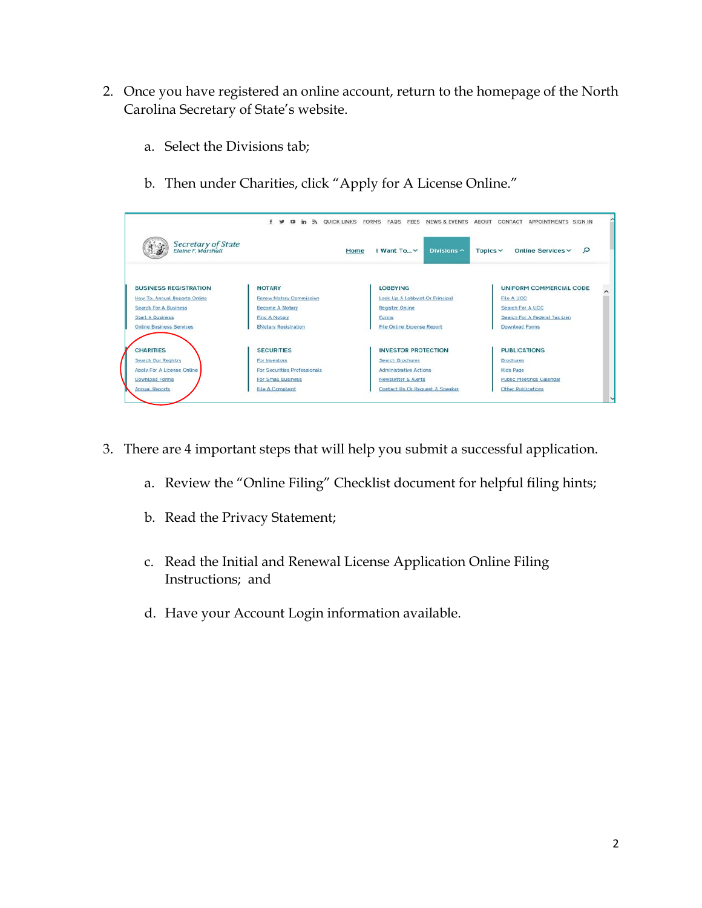- 2. Once you have registered an online account, return to the homepage of the North Carolina Secretary of State's website.
	- a. Select the Divisions tab;
	- b. Then under Charities, click "Apply for A License Online."

| Secretary of State<br>Elaine F. Marshall |                                | I Want To V<br>Divisions $\sim$<br>Home | Q<br>Online Services v<br>Topics $\vee$ |
|------------------------------------------|--------------------------------|-----------------------------------------|-----------------------------------------|
|                                          |                                |                                         |                                         |
| <b>BUSINESS REGISTRATION</b>             | <b>NOTARY</b>                  | <b>LOBBYING</b>                         | UNIFORM COMMERCIAL CODE                 |
| How To: Annual Reports Online            | <b>Renew Notary Commission</b> | Look Up A Lobbyist Or Principal         | <b>File A UCC</b>                       |
| Search For A Business                    | <b>Become A Notary</b>         | <b>Register Online</b>                  | Search For A UCC                        |
| <b>Start A Business</b>                  | <b>Find A Notary</b>           | Forms                                   | Search For A Federal Tax Lien           |
| <b>Online Business Services</b>          | <b>ENotary Registration</b>    | <b>File Online Expense Report</b>       | <b>Download Forms</b>                   |
| <b>CHARITIES</b>                         | <b>SECURITIES</b>              | <b>INVESTOR PROTECTION</b>              | <b>PUBLICATIONS</b>                     |
| <b>Search Our Registry</b>               | For investors                  | <b>Search Brochures</b>                 | <b>Brochures</b>                        |
| Apply For A License Online               | For Securities Professionals   | <b>Administrative Actions</b>           | <b>Kids Page</b>                        |
| <b>Download Forms</b>                    | For Small Business             | <b>Newsletter &amp; Alerts</b>          | <b>Public Meetings Calendar</b>         |
| <b>Annual Reports</b>                    | <b>File A Complaint</b>        | Contact Us Or Request A Speaker         | Other Publications                      |

- 3. There are 4 important steps that will help you submit a successful application.
	- a. Review the "Online Filing" Checklist document for helpful filing hints;
	- b. Read the Privacy Statement;
	- c. Read the Initial and Renewal License Application Online Filing Instructions; and
	- d. Have your Account Login information available.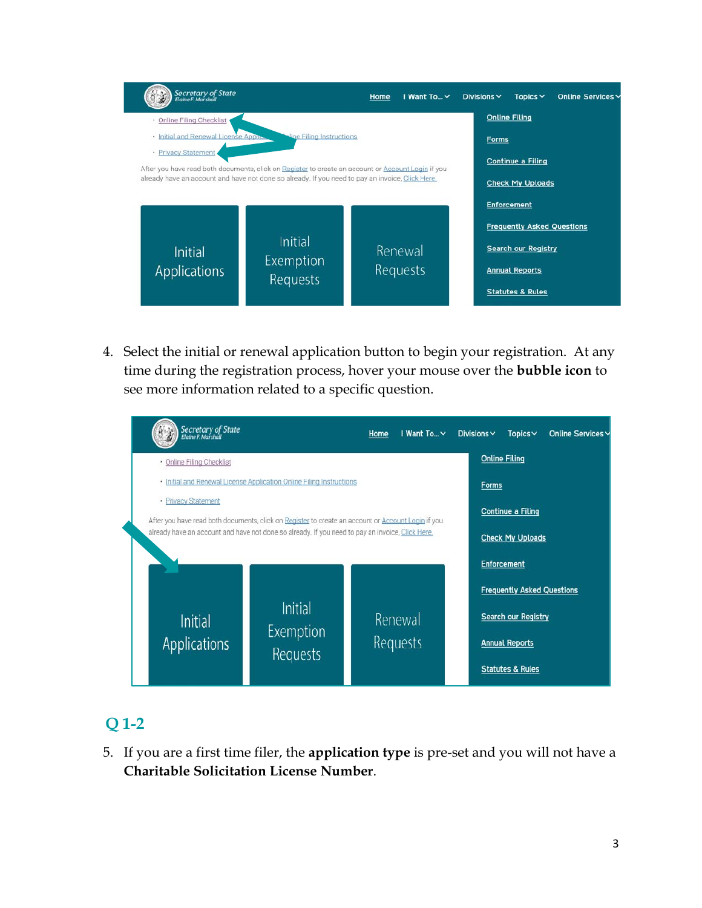| Secretary of State<br>Elaine F. Marshall                           |                                                                                                                                                                                                        | Home | I Want To v         | Divisions $\vee$ | Topics $\vee$                                           | Online Services v |
|--------------------------------------------------------------------|--------------------------------------------------------------------------------------------------------------------------------------------------------------------------------------------------------|------|---------------------|------------------|---------------------------------------------------------|-------------------|
| · Online Filing Checklist<br>· Initial and Renewal License Applic- | line Filing Instructions                                                                                                                                                                               |      |                     | <b>Forms</b>     | <b>Online Filing</b>                                    |                   |
| · Privacy Statement                                                | After you have read both documents, click on Register to create an account or Account Login if you<br>already have an account and have not done so already. If you need to pay an invoice, Click Here, |      |                     |                  | <b>Continue a Filing</b><br><b>Check My Uploads</b>     |                   |
|                                                                    |                                                                                                                                                                                                        |      |                     |                  | <b>Enforcement</b><br><b>Frequently Asked Questions</b> |                   |
| Initial<br><b>Applications</b>                                     | Initial<br>Exemption                                                                                                                                                                                   |      | Renewal<br>Requests |                  | <b>Search our Registry</b><br><b>Annual Reports</b>     |                   |
|                                                                    | Requests                                                                                                                                                                                               |      |                     |                  | <b>Statutes &amp; Rules</b>                             |                   |

4. Select the initial or renewal application button to begin your registration. At any time during the registration process, hover your mouse over the **bubble icon** to see more information related to a specific question.

| Secretary of State<br>Elaine F. Marshall                                                                                  |                                                                      | Home | I Want To Y | Divisions $\vee$ | Topics $\vee$                     | Online Services v |
|---------------------------------------------------------------------------------------------------------------------------|----------------------------------------------------------------------|------|-------------|------------------|-----------------------------------|-------------------|
| · Online Filing Checklist                                                                                                 |                                                                      |      |             |                  | <b>Online Filing</b>              |                   |
|                                                                                                                           | · Initial and Renewal License Application Online Filing Instructions |      |             | Forms            |                                   |                   |
| · Privacy Statement<br>After you have read both documents, click on Register to create an account or Account Login if you |                                                                      |      |             |                  | <b>Continue a Filing</b>          |                   |
| already have an account and have not done so already. If you need to pay an invoice, Click Here.                          |                                                                      |      |             |                  | <b>Check My Uploads</b>           |                   |
|                                                                                                                           |                                                                      |      |             |                  | <b>Enforcement</b>                |                   |
|                                                                                                                           |                                                                      |      |             |                  | <b>Frequently Asked Questions</b> |                   |
| <b>Initial</b>                                                                                                            | Initial                                                              |      | Renewal     |                  | <b>Search our Registry</b>        |                   |
| <b>Applications</b>                                                                                                       | Exemption<br>Requests                                                |      | Requests    |                  | <b>Annual Reports</b>             |                   |
|                                                                                                                           |                                                                      |      |             |                  | <b>Statutes &amp; Rules</b>       |                   |

# **Q 1-2**

5. If you are a first time filer, the **application type** is pre-set and you will not have a **Charitable Solicitation License Number**.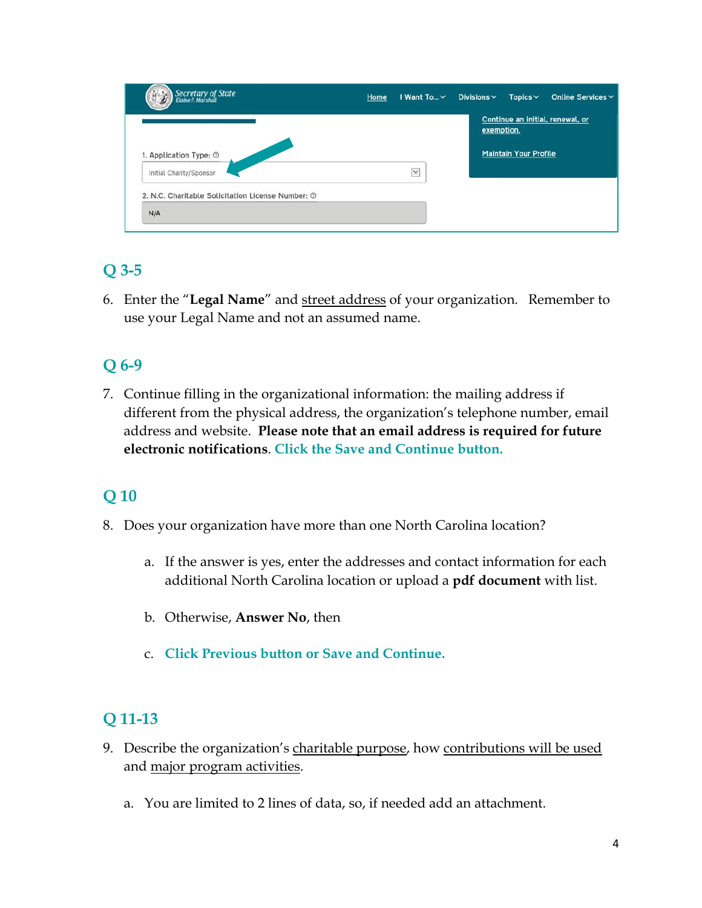|              | exemption. | Continue an initial, renewal, or |
|--------------|------------|----------------------------------|
|              |            |                                  |
| $\checkmark$ |            |                                  |
|              |            |                                  |
|              |            | <b>Maintain Your Profile</b>     |

# **Q 3-5**

6. Enter the "**Legal Name**" and street address of your organization. Remember to use your Legal Name and not an assumed name.

# **Q 6-9**

7. Continue filling in the organizational information: the mailing address if different from the physical address, the organization's telephone number, email address and website. **Please note that an email address is required for future electronic notifications**. **Click the Save and Continue button.**

# **Q 10**

- 8. Does your organization have more than one North Carolina location?
	- a. If the answer is yes, enter the addresses and contact information for each additional North Carolina location or upload a **pdf document** with list.
	- b. Otherwise, **Answer No**, then
	- c. **Click Previous button or Save and Continue.**

### **Q 11-13**

- 9. Describe the organization's charitable purpose, how contributions will be used and major program activities.
	- a. You are limited to 2 lines of data, so, if needed add an attachment.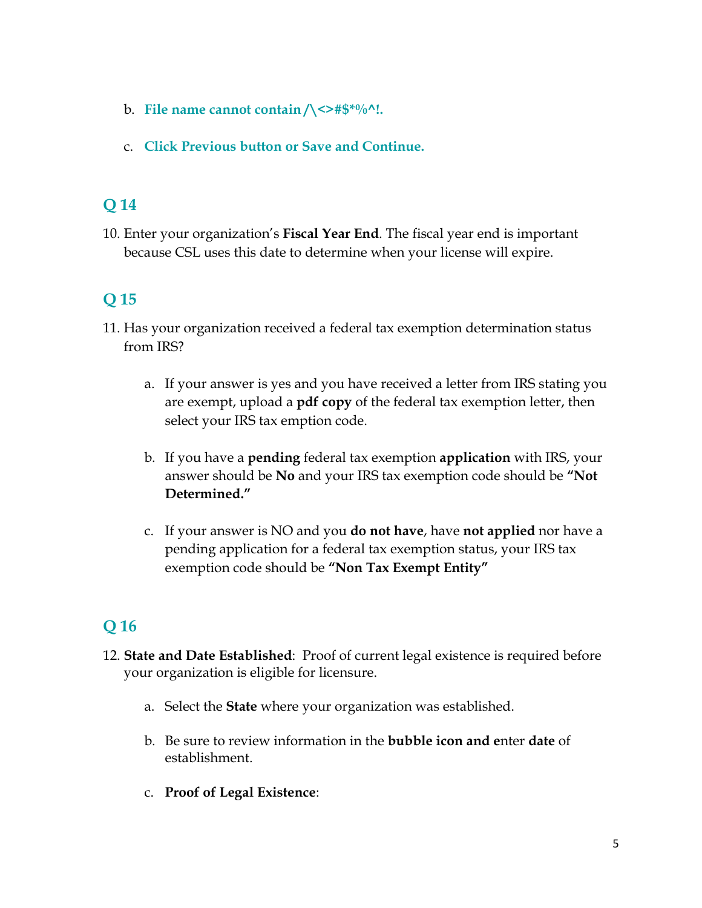- b. **File name cannot contain /\<>#\$\*%^!.**
- c. **Click Previous button or Save and Continue.**

10. Enter your organization's **Fiscal Year End**. The fiscal year end is important because CSL uses this date to determine when your license will expire.

# **Q 15**

- 11. Has your organization received a federal tax exemption determination status from IRS?
	- a. If your answer is yes and you have received a letter from IRS stating you are exempt, upload a **pdf copy** of the federal tax exemption letter, then select your IRS tax emption code.
	- b. If you have a **pending** federal tax exemption **application** with IRS, your answer should be **No** and your IRS tax exemption code should be **"Not Determined."**
	- c. If your answer is NO and you **do not have**, have **not applied** nor have a pending application for a federal tax exemption status, your IRS tax exemption code should be **"Non Tax Exempt Entity"**

- 12. **State and Date Established**: Proof of current legal existence is required before your organization is eligible for licensure.
	- a. Select the **State** where your organization was established.
	- b. Be sure to review information in the **bubble icon and e**nter **date** of establishment.
	- c. **Proof of Legal Existence**: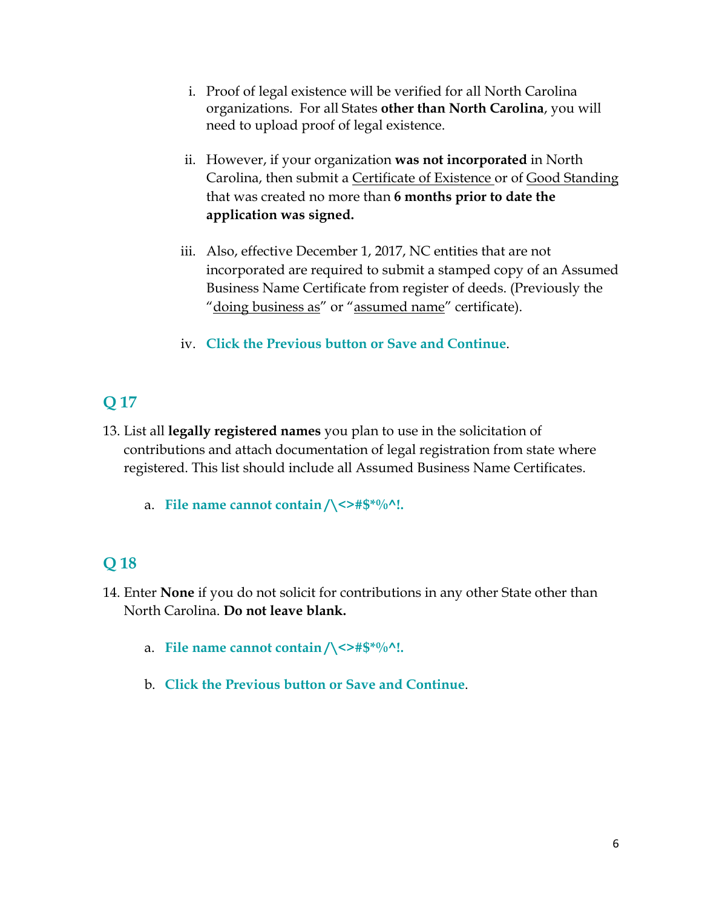- i. Proof of legal existence will be verified for all North Carolina organizations. For all States **other than North Carolina**, you will need to upload proof of legal existence.
- ii. However, if your organization **was not incorporated** in North Carolina, then submit a Certificate of Existence or of Good Standing that was created no more than **6 months prior to date the application was signed.**
- iii. Also, effective December 1, 2017, NC entities that are not incorporated are required to submit a stamped copy of an Assumed Business Name Certificate from register of deeds. (Previously the "doing business as" or "assumed name" certificate).
- iv. **Click the Previous button or Save and Continue**.

- 13. List all **legally registered names** you plan to use in the solicitation of contributions and attach documentation of legal registration from state where registered. This list should include all Assumed Business Name Certificates.
	- a. **File name cannot contain /\<>#\$\*%^!.**

- 14. Enter **None** if you do not solicit for contributions in any other State other than North Carolina. **Do not leave blank.**
	- a. **File name cannot contain /\<>#\$\*%^!.**
	- b. **Click the Previous button or Save and Continue**.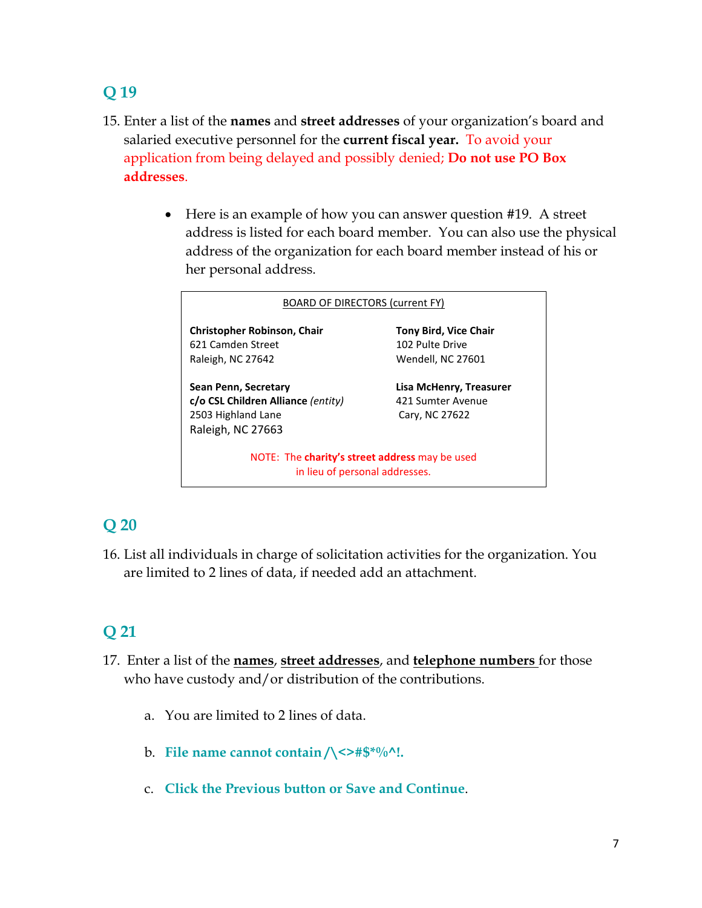- 15. Enter a list of the **names** and **street addresses** of your organization's board and salaried executive personnel for the **current fiscal year.** To avoid your application from being delayed and possibly denied; **Do not use PO Box addresses**.
	- Here is an example of how you can answer question #19. A street address is listed for each board member. You can also use the physical address of the organization for each board member instead of his or her personal address.

| <b>BOARD OF DIRECTORS (current FY)</b>                                                                |                                                                      |
|-------------------------------------------------------------------------------------------------------|----------------------------------------------------------------------|
| <b>Christopher Robinson, Chair</b><br>621 Camden Street<br>Raleigh, NC 27642                          | <b>Tony Bird, Vice Chair</b><br>102 Pulte Drive<br>Wendell, NC 27601 |
| Sean Penn, Secretary<br>c/o CSL Children Alliance (entity)<br>2503 Highland Lane<br>Raleigh, NC 27663 | Lisa McHenry, Treasurer<br>421 Sumter Avenue<br>Cary, NC 27622       |
| NOTE: The charity's street address may be used<br>in lieu of personal addresses.                      |                                                                      |

# **Q 20**

16. List all individuals in charge of solicitation activities for the organization. You are limited to 2 lines of data, if needed add an attachment.

- 17. Enter a list of the **names**, **street addresses**, and **telephone numbers** for those who have custody and/or distribution of the contributions.
	- a. You are limited to 2 lines of data.
	- b. **File name cannot contain /\<>#\$\*%^!.**
	- c. **Click the Previous button or Save and Continue**.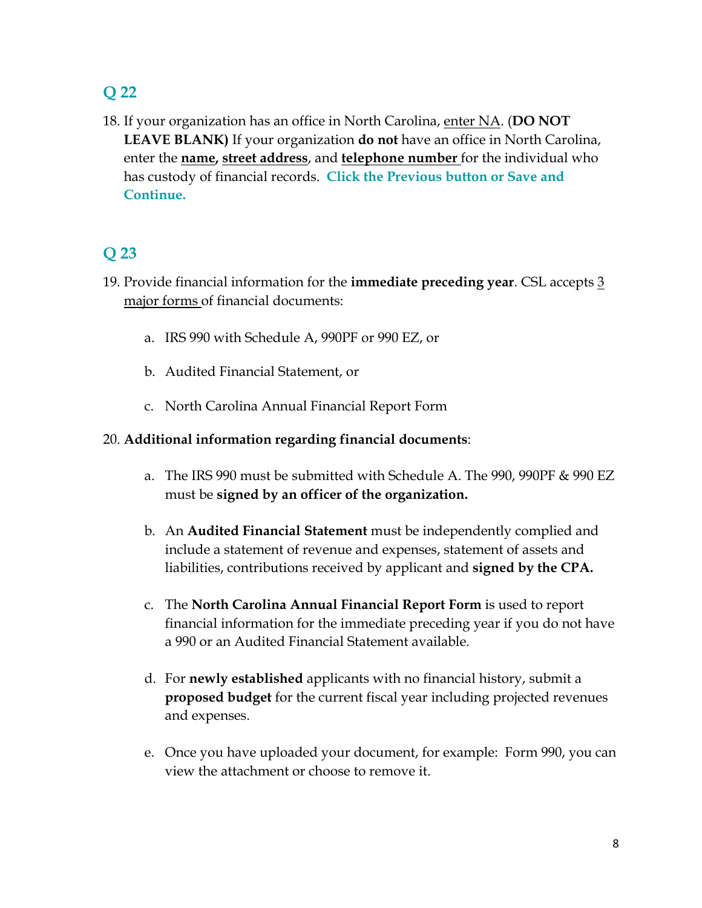18. If your organization has an office in North Carolina, enter NA. (**DO NOT LEAVE BLANK)** If your organization **do not** have an office in North Carolina, enter the **name, street address**, and **telephone number** for the individual who has custody of financial records. **Click the Previous button or Save and Continue.**

### **Q 23**

- 19. Provide financial information for the **immediate preceding year**. CSL accepts 3 major forms of financial documents:
	- a. IRS 990 with Schedule A, 990PF or 990 EZ, or
	- b. Audited Financial Statement, or
	- c. North Carolina Annual Financial Report Form

#### 20. **Additional information regarding financial documents**:

- a. The IRS 990 must be submitted with Schedule A. The 990, 990PF & 990 EZ must be **signed by an officer of the organization.**
- b. An **Audited Financial Statement** must be independently complied and include a statement of revenue and expenses, statement of assets and liabilities, contributions received by applicant and **signed by the CPA.**
- c. The **North Carolina Annual Financial Report Form** is used to report financial information for the immediate preceding year if you do not have a 990 or an Audited Financial Statement available.
- d. For **newly established** applicants with no financial history, submit a **proposed budget** for the current fiscal year including projected revenues and expenses.
- e. Once you have uploaded your document, for example: Form 990, you can view the attachment or choose to remove it.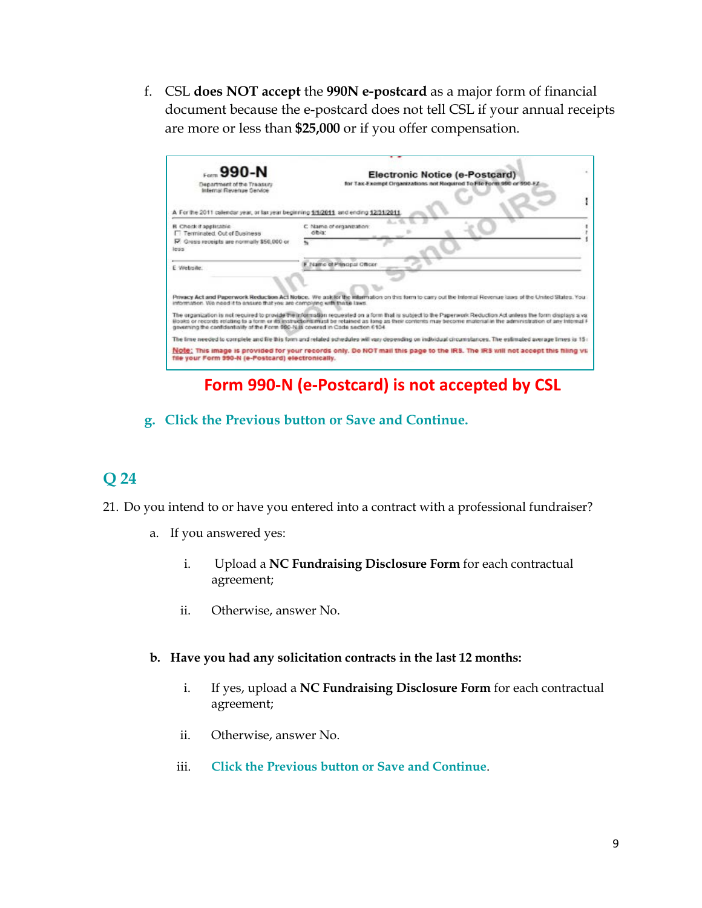f. CSL **does NOT accept** the **990N e-postcard** as a major form of financial document because the e-postcard does not tell CSL if your annual receipts are more or less than **\$25,000** or if you offer compensation.

| <b>990-N</b><br>Department of the Traggury                                           | Electronic Notice (e-Postcard)<br>for Tax-Exempt Organizations not Required To File Form 990 or 990-EZ                                                                                                                                                                                                                           |
|--------------------------------------------------------------------------------------|----------------------------------------------------------------------------------------------------------------------------------------------------------------------------------------------------------------------------------------------------------------------------------------------------------------------------------|
| Infernal Revenue Service                                                             |                                                                                                                                                                                                                                                                                                                                  |
| A For the 2011 calendar year, or lax year beginning 1/1/2011, and ending 12/31/2011. |                                                                                                                                                                                                                                                                                                                                  |
| <b>R</b> Check if applicable<br>IT Terminsted, Out of Business                       | C. Name of erganization<br>dibia:                                                                                                                                                                                                                                                                                                |
| R Gross receipts are normally \$50,000 or<br>less                                    |                                                                                                                                                                                                                                                                                                                                  |
| E Website:                                                                           | Name of Principal Officer                                                                                                                                                                                                                                                                                                        |
|                                                                                      |                                                                                                                                                                                                                                                                                                                                  |
| information. We need it to ensure that you are completed with these laws.            | Privacy Act and Paperwork Reduction Act Notice. We askilor the infarmation on this form to carry out the Internal Revenue laws of the United States. You                                                                                                                                                                         |
| governing the confidentiality of the Form 980-N ill covered in Code section 6104.    | The organization is not required to provide the information requested on a form that is subject to the Pagerwork Reduction Act unless the form displays a val<br>Books or records relating to a form or its instructions must be relatived as long as their contents may become material in the administration of any Internal F |
|                                                                                      | The time needed to complete and file this form and related schedules will vary depending on individual circumstances. The estimated average times is 15+                                                                                                                                                                         |
| file your Form 990-N (e-Postcard) electronically.                                    | Note: This image is provided for your records only. Do NOT mail this page to the IRS. The IRS will not accept this filing vil                                                                                                                                                                                                    |

# **Form 990-N (e-Postcard) is not accepted by CSL**

#### **g. Click the Previous button or Save and Continue.**

- 21. Do you intend to or have you entered into a contract with a professional fundraiser?
	- a. If you answered yes:
		- i. Upload a **NC Fundraising Disclosure Form** for each contractual agreement;
		- ii. Otherwise, answer No.
	- **b. Have you had any solicitation contracts in the last 12 months:**
		- i. If yes, upload a **NC Fundraising Disclosure Form** for each contractual agreement;
		- ii. Otherwise, answer No.
		- iii. **Click the Previous button or Save and Continue**.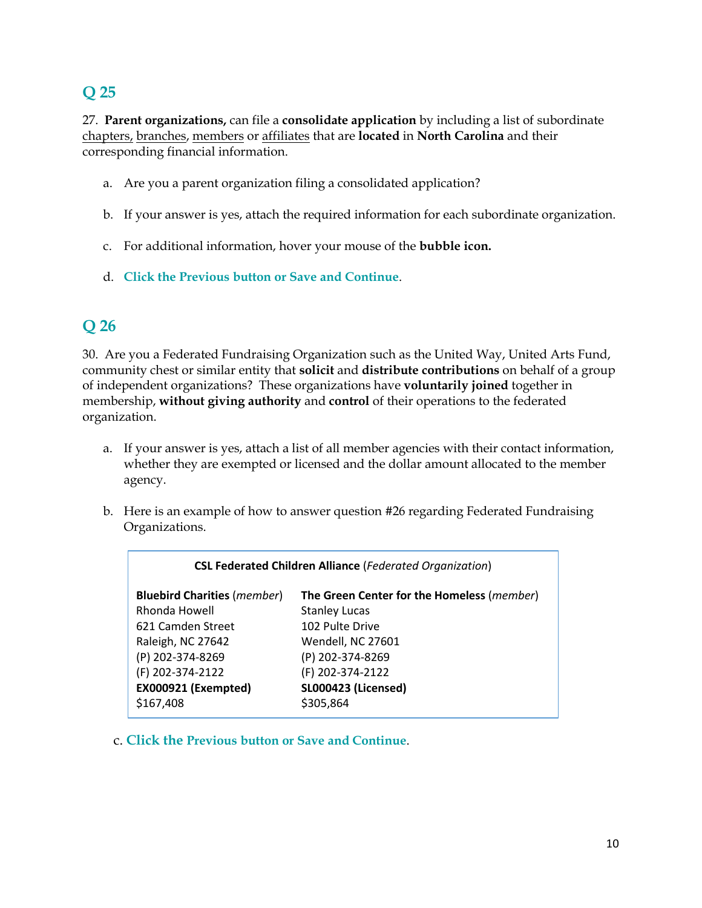27. **Parent organizations,** can file a **consolidate application** by including a list of subordinate chapters, branches, members or affiliates that are **located** in **North Carolina** and their corresponding financial information.

- a. Are you a parent organization filing a consolidated application?
- b. If your answer is yes, attach the required information for each subordinate organization.
- c. For additional information, hover your mouse of the **bubble icon.**
- d. **Click the Previous button or Save and Continue**.

# **Q 26**

30. Are you a Federated Fundraising Organization such as the United Way, United Arts Fund, community chest or similar entity that **solicit** and **distribute contributions** on behalf of a group of independent organizations? These organizations have **voluntarily joined** together in membership, **without giving authority** and **control** of their operations to the federated organization.

- a. If your answer is yes, attach a list of all member agencies with their contact information, whether they are exempted or licensed and the dollar amount allocated to the member agency.
- b. Here is an example of how to answer question #26 regarding Federated Fundraising Organizations.

| <b>CSL Federated Children Alliance (Federated Organization)</b> |                                                     |  |  |  |  |
|-----------------------------------------------------------------|-----------------------------------------------------|--|--|--|--|
| <b>Bluebird Charities (member)</b>                              | The Green Center for the Homeless ( <i>member</i> ) |  |  |  |  |
| Rhonda Howell                                                   | <b>Stanley Lucas</b>                                |  |  |  |  |
| 621 Camden Street                                               | 102 Pulte Drive                                     |  |  |  |  |
| Raleigh, NC 27642                                               | Wendell, NC 27601                                   |  |  |  |  |
| (P) 202-374-8269                                                | (P) 202-374-8269                                    |  |  |  |  |
| (F) 202-374-2122                                                | (F) 202-374-2122                                    |  |  |  |  |
| EX000921 (Exempted)                                             | <b>SL000423 (Licensed)</b>                          |  |  |  |  |
| \$167,408                                                       | \$305,864                                           |  |  |  |  |

c. **Click the Previous button or Save and Continue**.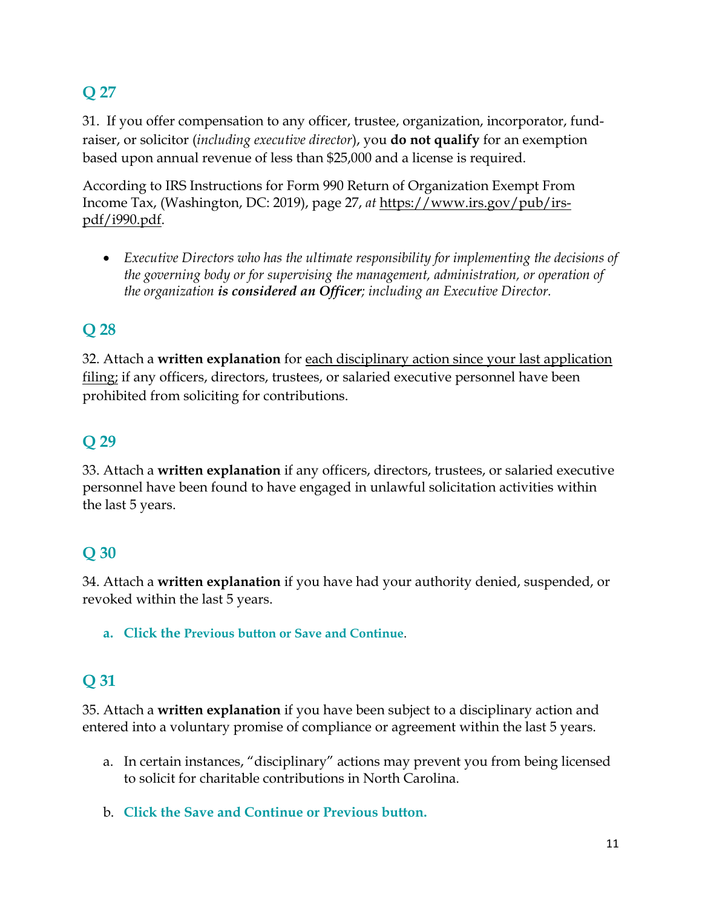31. If you offer compensation to any officer, trustee, organization, incorporator, fundraiser, or solicitor (*including executive director*), you **do not qualify** for an exemption based upon annual revenue of less than \$25,000 and a license is required.

According to IRS Instructions for Form 990 Return of Organization Exempt From Income Tax, (Washington, DC: 2019), page 27, *at* [https://www.irs.gov/pub/irs](https://www.irs.gov/pub/irs-pdf/i990.pdf)[pdf/i990.pdf.](https://www.irs.gov/pub/irs-pdf/i990.pdf)

• *Executive Directors who has the ultimate responsibility for implementing the decisions of the governing body or for supervising the management, administration, or operation of the organization is considered an Officer; including an Executive Director.*

# **Q 28**

32. Attach a **written explanation** for each disciplinary action since your last application filing; if any officers, directors, trustees, or salaried executive personnel have been prohibited from soliciting for contributions.

# **Q 29**

33. Attach a **written explanation** if any officers, directors, trustees, or salaried executive personnel have been found to have engaged in unlawful solicitation activities within the last 5 years.

# **Q 30**

34. Attach a **written explanation** if you have had your authority denied, suspended, or revoked within the last 5 years.

**a. Click the Previous button or Save and Continue**.

# **Q 31**

35. Attach a **written explanation** if you have been subject to a disciplinary action and entered into a voluntary promise of compliance or agreement within the last 5 years.

- a. In certain instances, "disciplinary" actions may prevent you from being licensed to solicit for charitable contributions in North Carolina.
- b. **Click the Save and Continue or Previous button.**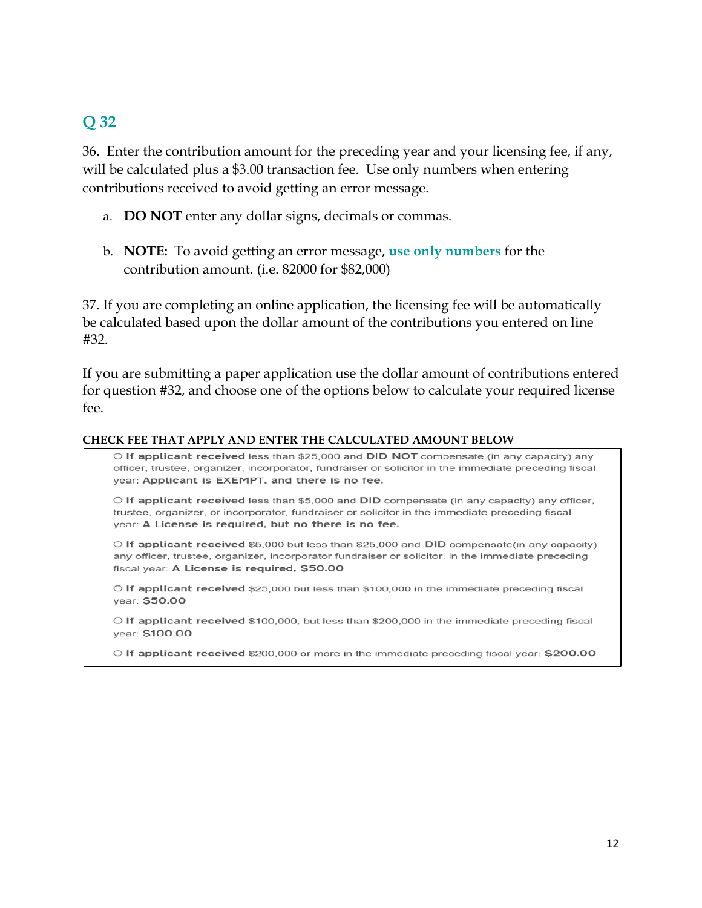36. Enter the contribution amount for the preceding year and your licensing fee, if any, will be calculated plus a \$3.00 transaction fee. Use only numbers when entering contributions received to avoid getting an error message.

- a. **DO NOT** enter any dollar signs, decimals or commas.
- b. **NOTE:** To avoid getting an error message, **use only numbers** for the contribution amount. (i.e. 82000 for \$82,000)

37. If you are completing an online application, the licensing fee will be automatically be calculated based upon the dollar amount of the contributions you entered on line #32.

If you are submitting a paper application use the dollar amount of contributions entered for question #32, and choose one of the options below to calculate your required license fee.

#### **CHECK FEE THAT APPLY AND ENTER THE CALCULATED AMOUNT BELOW**

O If applicant received less than \$25,000 and DID NOT compensate (in any capacity) any officer, trustee, organizer, incorporator, fundraiser or solicitor in the immediate preceding fiscal year: Applicant is EXEMPT, and there is no fee.

 $\circ$  If applicant received less than \$5,000 and DID compensate (in any capacity) any officer, trustee, organizer, or incorporator, fundraiser or solicitor in the immediate preceding fiscal year: A License is required, but no there is no fee.

O If applicant received \$5,000 but less than \$25,000 and DID compensate(in any capacity) any officer, trustee, organizer, incorporator fundraiser or solicitor, in the immediate preceding fiscal year: A License is required, \$50.00

O If applicant received \$25,000 but less than \$100,000 in the immediate preceding fiscal year: \$50.00

O If applicant received \$100,000, but less than \$200,000 in the immediate preceding fiscal vear: \$100.00

O If applicant received \$200,000 or more in the immediate preceding fiscal year: \$200.00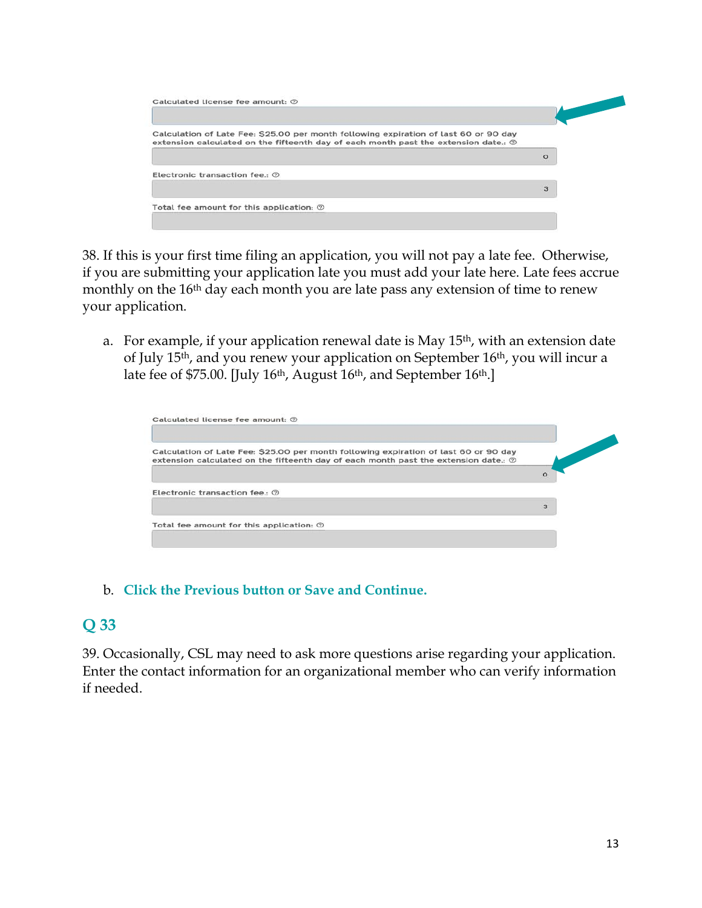| Calculation of Late Fee: \$25.00 per month following expiration of last 60 or 90 day<br>extension calculated on the fifteenth day of each month past the extension date.: $\odot$ |         |
|-----------------------------------------------------------------------------------------------------------------------------------------------------------------------------------|---------|
|                                                                                                                                                                                   | $\circ$ |
| Electronic transaction fee. (2)                                                                                                                                                   |         |
|                                                                                                                                                                                   | 3       |
| Total fee amount for this application: $\oslash$                                                                                                                                  |         |

38. If this is your first time filing an application, you will not pay a late fee. Otherwise, if you are submitting your application late you must add your late here. Late fees accrue monthly on the 16<sup>th</sup> day each month you are late pass any extension of time to renew your application.

a. For example, if your application renewal date is May 15<sup>th</sup>, with an extension date of July 15th, and you renew your application on September 16th, you will incur a late fee of \$75.00. [July 16<sup>th</sup>, August 16<sup>th</sup>, and September 16<sup>th</sup>.]

| Calculated license fee amount: 2                                                                                                                                                         |         |
|------------------------------------------------------------------------------------------------------------------------------------------------------------------------------------------|---------|
| Calculation of Late Fee: \$25.00 per month following expiration of last 60 or 90 day<br>extension calculated on the fifteenth day of each month past the extension date.: $\circledcirc$ |         |
|                                                                                                                                                                                          | $\circ$ |
| Electronic transaction fee.: 2                                                                                                                                                           |         |
|                                                                                                                                                                                          | 3       |
| Total fee amount for this application: $\odot$                                                                                                                                           |         |

#### b. **Click the Previous button or Save and Continue.**

### **Q 33**

39. Occasionally, CSL may need to ask more questions arise regarding your application. Enter the contact information for an organizational member who can verify information if needed.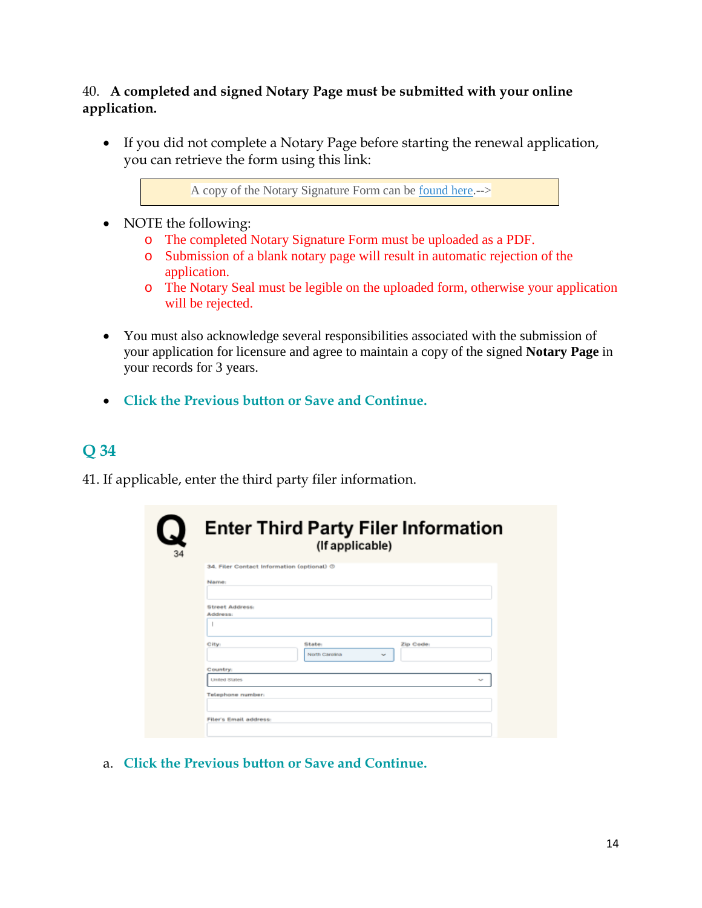#### 40. **A completed and signed Notary Page must be submitted with your online application.**

• If you did not complete a Notary Page before starting the renewal application, you can retrieve the form using this link:

A copy of the Notary Signature Form can be [found here.](https://www.sosnc.gov/documents/forms/charities/charities_sponsors/CslNotaryCharity.pdf)-->

- NOTE the following:
	- o The completed Notary Signature Form must be uploaded as a PDF.
	- o Submission of a blank notary page will result in automatic rejection of the application.
	- o The Notary Seal must be legible on the uploaded form, otherwise your application will be rejected.
- You must also acknowledge several responsibilities associated with the submission of your application for licensure and agree to maintain a copy of the signed **Notary Page** in your records for 3 years.
- **Click the Previous button or Save and Continue.**

# **Q 34**

41. If applicable, enter the third party filer information.

|                        |                                                    | (If applicable)          |
|------------------------|----------------------------------------------------|--------------------------|
|                        | 34. Filer Contact Information (optional) $\oslash$ |                          |
| Name:                  |                                                    |                          |
|                        |                                                    |                          |
| <b>Street Address:</b> |                                                    |                          |
| Address:               |                                                    |                          |
|                        |                                                    |                          |
| City:                  | State:                                             | Zip Code:                |
|                        | North Carolina                                     | $\overline{\phantom{a}}$ |
| Country:               |                                                    |                          |
| <b>Linded States</b>   |                                                    |                          |
| Telephone number:      |                                                    |                          |
|                        |                                                    |                          |

a. **Click the Previous button or Save and Continue.**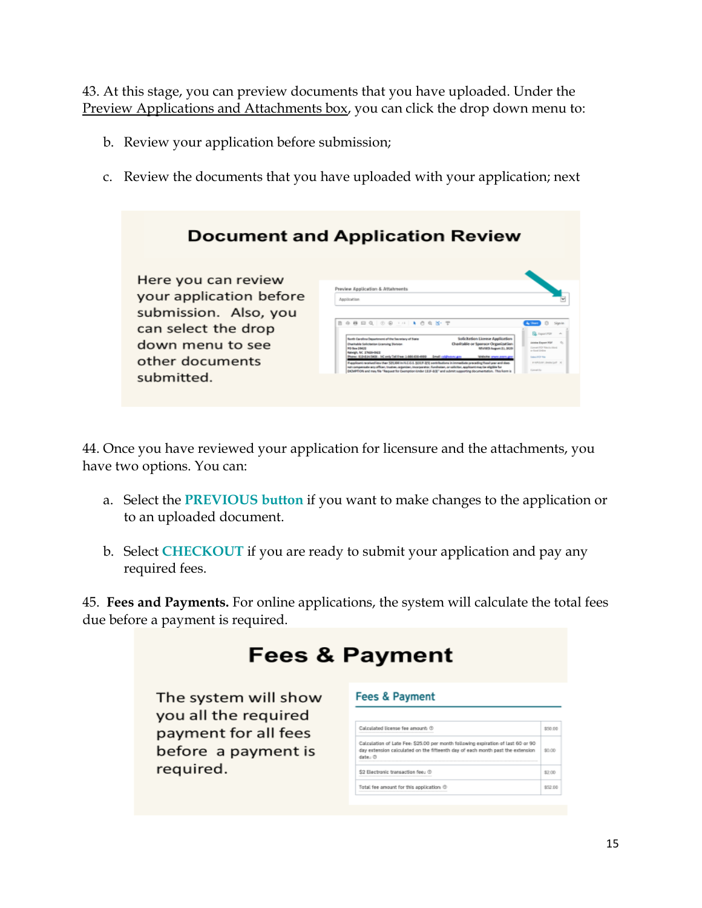43. At this stage, you can preview documents that you have uploaded. Under the Preview Applications and Attachments box, you can click the drop down menu to:

- b. Review your application before submission;
- c. Review the documents that you have uploaded with your application; next

|                                                                                                                                                     | <b>Document and Application Review</b>                                                                                                                                                                                                                                                                                                                                                                                                                                                                                                                                                                                                                                                                                                                                                                                                                                                                                                                                                                                             |
|-----------------------------------------------------------------------------------------------------------------------------------------------------|------------------------------------------------------------------------------------------------------------------------------------------------------------------------------------------------------------------------------------------------------------------------------------------------------------------------------------------------------------------------------------------------------------------------------------------------------------------------------------------------------------------------------------------------------------------------------------------------------------------------------------------------------------------------------------------------------------------------------------------------------------------------------------------------------------------------------------------------------------------------------------------------------------------------------------------------------------------------------------------------------------------------------------|
| Here you can review<br>your application before<br>submission. Also, you<br>can select the drop<br>down menu to see<br>other documents<br>submitted. | Preview Application & Attahments<br>Application<br>B @ B B Q   @ @ I H   & @ & & T<br>G.<br><b>FA</b> , England PCP<br>Solicitation Licence Application<br>Gordo Carolina Casantenanti all'illa Garantara al Stata<br><b>Grida Expan FGF</b><br>Dustrable or Sounsor Organization<br>Ducturie Galicianian Linewing Stutzion<br>Commercities Republic (Mond)<br>MVHRS August 21, 3030<br><b>Miller MCD</b><br>as though liveling.<br>talwall, NC 17608-0621<br>Rone: 9104145406 - 140 enty Toll Ener 1-884-830-4980 - Break coldings or an-<br><b>Welchelter severe entry day.</b><br><b><i>CANADA TO THE</i></b><br>Regulariti resitualizarite (\$1,000 in \$2.0.1, \$22.8.25) contributions intermediate preceding final une-and does<br><b>Professor dealership of the</b><br>tat compensate any officer, trustee, organizer, invorgorator. Fundraiser, or coluitor, applicant may be eligible for<br>Convention<br>DOMTON and may file "Request for Exemption Under LEIF-BE" and submit: supporting documentation. This korm is |

44. Once you have reviewed your application for licensure and the attachments, you have two options. You can:

- a. Select the **PREVIOUS button** if you want to make changes to the application or to an uploaded document.
- b. Select **CHECKOUT** if you are ready to submit your application and pay any required fees.

45. **Fees and Payments.** For online applications, the system will calculate the total fees due before a payment is required.

| <b>Fees &amp; Payment</b>                    |                                                                                                                                                                               |         |  |  |  |
|----------------------------------------------|-------------------------------------------------------------------------------------------------------------------------------------------------------------------------------|---------|--|--|--|
| The system will show<br>you all the required | <b>Fees &amp; Payment</b>                                                                                                                                                     |         |  |  |  |
| payment for all fees                         | Calculated license fee amount: 0                                                                                                                                              | \$50.00 |  |  |  |
| before a payment is                          | Calculation of Late Fee: \$25.00 per month following expiration of last 60 or 90<br>day estension calculated on the fifteenth day of each month past the extension<br>date. O | \$0.00  |  |  |  |
| required.                                    | \$2 Electronic transaction fee : @                                                                                                                                            | \$2.00  |  |  |  |
|                                              | Total fee amount for this application: ®                                                                                                                                      | \$52.00 |  |  |  |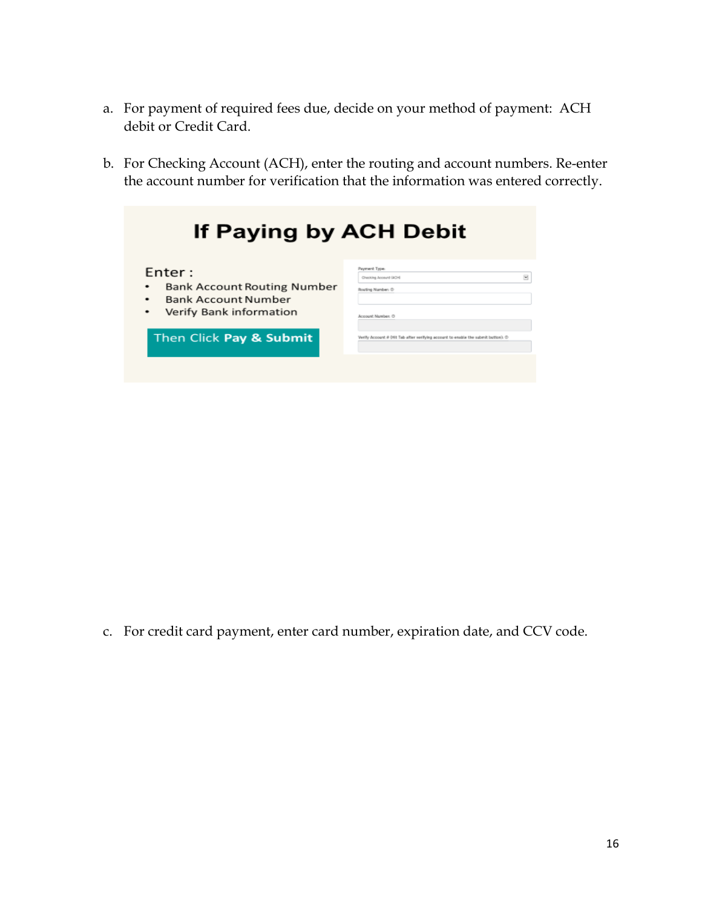- a. For payment of required fees due, decide on your method of payment: ACH debit or Credit Card.
- b. For Checking Account (ACH), enter the routing and account numbers. Re-enter the account number for verification that the information was entered correctly.

| If Paying by ACH Debit                                                                                               |                                                                                                                       |  |
|----------------------------------------------------------------------------------------------------------------------|-----------------------------------------------------------------------------------------------------------------------|--|
| Enter:<br><b>Bank Account Routing Number</b><br>٠<br><b>Bank Account Number</b><br>٠<br>Verify Bank information<br>٠ | Payment Troe:<br>$\overline{\mathbf{x}}$<br>Checking Account (JACH)<br>Rosting Number: @<br><b>Annount Momber (3)</b> |  |
| Then Click Pay & Submit                                                                                              | Verify Account # 04t Tab after verifying account to enable the submit button): @                                      |  |

c. For credit card payment, enter card number, expiration date, and CCV code.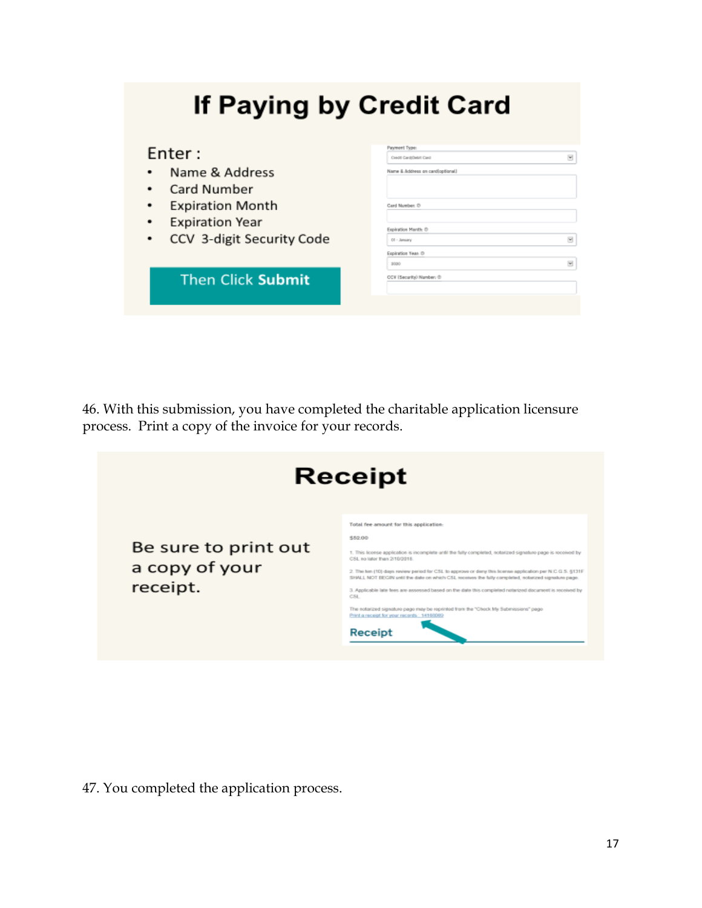| If Paying by Credit Card  |                                                       |
|---------------------------|-------------------------------------------------------|
| Enter:                    | Payment Type:<br>$\mathcal{M}$<br>CHASE CANSONS! Cand |
| Name & Address            | Name & Address on candioptional.)                     |
| Card Number               |                                                       |
| <b>Expiration Month</b>   | Card Number, O                                        |
| <b>Expiration Year</b>    | Expiration Manth- O                                   |
| CCV 3-digit Security Code | $\overline{\mathbf{v}}$<br>$CI - Lemary$              |
|                           | Expiration Year O                                     |
|                           | $\overline{\mathbf{w}}$<br><b>SOUND</b>               |
| <b>Then Click Submit</b>  | CCV (Security) Number: @                              |

46. With this submission, you have completed the charitable application licensure process. Print a copy of the invoice for your records.

|                                                    | <b>Receipt</b>                                                                                                                                                                                                                                                                                                                                                                                                                                                                                                                                                                                                                                                                          |
|----------------------------------------------------|-----------------------------------------------------------------------------------------------------------------------------------------------------------------------------------------------------------------------------------------------------------------------------------------------------------------------------------------------------------------------------------------------------------------------------------------------------------------------------------------------------------------------------------------------------------------------------------------------------------------------------------------------------------------------------------------|
| Be sure to print out<br>a copy of your<br>receipt. | Total fee amount for this application:<br>552.00<br>1. This license application is incomplete until the fully completed, notarized signature page is received by<br>CSI no later than 2/10/3018.<br>2. The ten (10) days review period for CSL to approve or derly this license application per N C G S. §131F<br>SHALL NOT BEGIN until the date on which CSL receives the fully completed, notatized signature page.<br>3. Applicable late fees are assessed based on the date this completed notarized document is received by<br>CSL.<br>The notarized signature page may be reprinted from the "Check My Submissions" page<br>Print a receipt for your records: 14163069<br>Receipt |

47. You completed the application process.